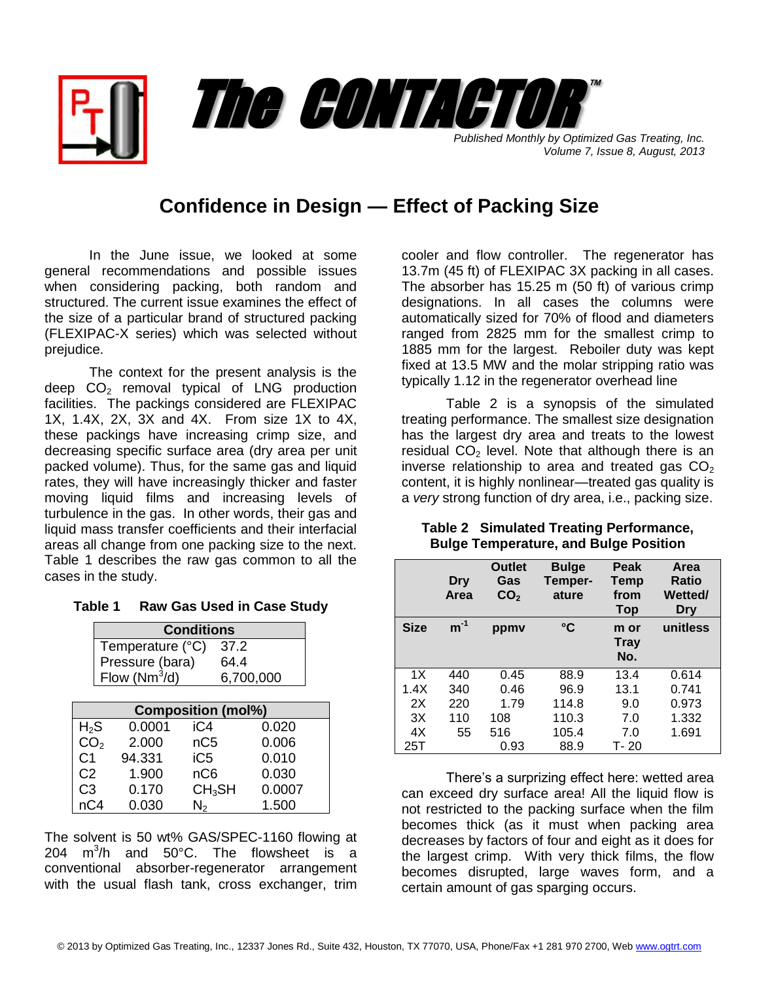*Published Monthly by Optimized Gas Treating, Inc. Volume 7, Issue 8, August, 2013* The CONTACTOR

™

## **Confidence in Design — Effect of Packing Size**

In the June issue, we looked at some general recommendations and possible issues when considering packing, both random and structured. The current issue examines the effect of the size of a particular brand of structured packing (FLEXIPAC-X series) which was selected without prejudice.

The context for the present analysis is the deep  $CO<sub>2</sub>$  removal typical of LNG production facilities. The packings considered are FLEXIPAC 1X, 1.4X, 2X, 3X and 4X. From size 1X to 4X, these packings have increasing crimp size, and decreasing specific surface area (dry area per unit packed volume). Thus, for the same gas and liquid rates, they will have increasingly thicker and faster moving liquid films and increasing levels of turbulence in the gas. In other words, their gas and liquid mass transfer coefficients and their interfacial areas all change from one packing size to the next. Table 1 describes the raw gas common to all the cases in the study.

| Table 1 |  |  | <b>Raw Gas Used in Case Study</b> |  |
|---------|--|--|-----------------------------------|--|
|         |  |  |                                   |  |

| <b>Conditions</b>         |  |        |                    |        |  |  |
|---------------------------|--|--------|--------------------|--------|--|--|
| Temperature (°C)<br>37.2  |  |        |                    |        |  |  |
| Pressure (bara)           |  |        |                    | 64.4   |  |  |
| Flow $(Nm^3/d)$           |  |        | 6,700,000          |        |  |  |
|                           |  |        |                    |        |  |  |
| <b>Composition (mol%)</b> |  |        |                    |        |  |  |
| $H_{2}S$                  |  | 0.0001 | iC4                | 0.020  |  |  |
| CO <sub>2</sub>           |  | 2.000  | nC <sub>5</sub>    | 0.006  |  |  |
| C <sub>1</sub>            |  | 94.331 | iC <sub>5</sub>    | 0.010  |  |  |
| C <sub>2</sub>            |  | 1.900  | nC <sub>6</sub>    | 0.030  |  |  |
| C <sub>3</sub>            |  | 0.170  | CH <sub>3</sub> SH | 0.0007 |  |  |
| nC4                       |  | 0.030  | $\mathsf{N}_2$     | 1.500  |  |  |

The solvent is 50 wt% GAS/SPEC-1160 flowing at 204  $m^3/h$  and 50°C. The flowsheet is a conventional absorber-regenerator arrangement with the usual flash tank, cross exchanger, trim cooler and flow controller. The regenerator has 13.7m (45 ft) of FLEXIPAC 3X packing in all cases. The absorber has 15.25 m (50 ft) of various crimp designations. In all cases the columns were automatically sized for 70% of flood and diameters ranged from 2825 mm for the smallest crimp to 1885 mm for the largest. Reboiler duty was kept fixed at 13.5 MW and the molar stripping ratio was typically 1.12 in the regenerator overhead line

Table 2 is a synopsis of the simulated treating performance. The smallest size designation has the largest dry area and treats to the lowest residual  $CO<sub>2</sub>$  level. Note that although there is an inverse relationship to area and treated gas  $CO<sub>2</sub>$ content, it is highly nonlinear—treated gas quality is a *very* strong function of dry area, i.e., packing size.

|             | Dry<br>Area | <b>Outlet</b><br>Gas<br>CO <sub>2</sub> | <b>Bulge</b><br>Temper-<br>ature | Peak<br><b>Temp</b><br>from<br><b>Top</b> | Area<br>Ratio<br><b>Wetted</b><br><b>Dry</b> |
|-------------|-------------|-----------------------------------------|----------------------------------|-------------------------------------------|----------------------------------------------|
| <b>Size</b> | $m^{-1}$    | ppmy                                    | °C                               | m or<br><b>Tray</b><br>No.                | unitless                                     |
| 1X          | 440         | 0.45                                    | 88.9                             | 13.4                                      | 0.614                                        |
| 1.4X        | 340         | 0.46                                    | 96.9                             | 13.1                                      | 0.741                                        |
| 2X          | 220         | 1.79                                    | 114.8                            | 9.0                                       | 0.973                                        |
| 3X          | 110         | 108                                     | 110.3                            | 7.0                                       | 1.332                                        |
| 4X          | 55          | 516                                     | 105.4                            | 7.0                                       | 1.691                                        |
| 25T         |             | 0.93                                    | 88.9                             | T- 20                                     |                                              |

## **Table 2 Simulated Treating Performance, Bulge Temperature, and Bulge Position**

There's a surprizing effect here: wetted area can exceed dry surface area! All the liquid flow is not restricted to the packing surface when the film becomes thick (as it must when packing area decreases by factors of four and eight as it does for the largest crimp. With very thick films, the flow becomes disrupted, large waves form, and a certain amount of gas sparging occurs.